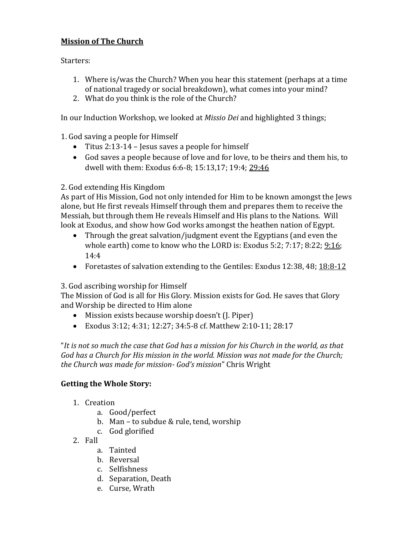## **Mission of The Church**

Starters:

- 1. Where is/was the Church? When you hear this statement (perhaps at a time of national tragedy or social breakdown), what comes into your mind?
- 2. What do you think is the role of the Church?

In our Induction Workshop, we looked at *Missio Dei* and highlighted 3 things;

1. God saving a people for Himself

- Titus  $2:13-14$  Jesus saves a people for himself
- God saves a people because of love and for love, to be theirs and them his, to dwell with them: Exodus 6:6-8; 15:13,17; 19:4; 29:46

## 2. God extending His Kingdom

As part of His Mission, God not only intended for Him to be known amongst the Jews alone, but He first reveals Himself through them and prepares them to receive the Messiah, but through them He reveals Himself and His plans to the Nations. Will look at Exodus, and show how God works amongst the heathen nation of Egypt.

- Through the great salvation/judgment event the Egyptians (and even the whole earth) come to know who the LORD is: Exodus 5:2; 7:17; 8:22; 9:16; 14:4
- Foretastes of salvation extending to the Gentiles: Exodus 12:38, 48; 18:8-12

## 3. God ascribing worship for Himself

The Mission of God is all for His Glory. Mission exists for God. He saves that Glory and Worship be directed to Him alone

- Mission exists because worship doesn't (J. Piper)
- Exodus 3:12; 4:31; 12:27; 34:5-8 cf. Matthew 2:10-11; 28:17

"*It is not so much the case that God has a mission for his Church in the world, as that God has a Church for His mission in the world. Mission was not made for the Church; the Church was made for mission- God's mission*" Chris Wright

## **Getting the Whole Story:**

- 1. Creation
	- a. Good/perfect
	- b. Man to subdue & rule, tend, worship
	- c. God glorified
- 2. Fall
	- a. Tainted
	- b. Reversal
	- c. Selfishness
	- d. Separation, Death
	- e. Curse, Wrath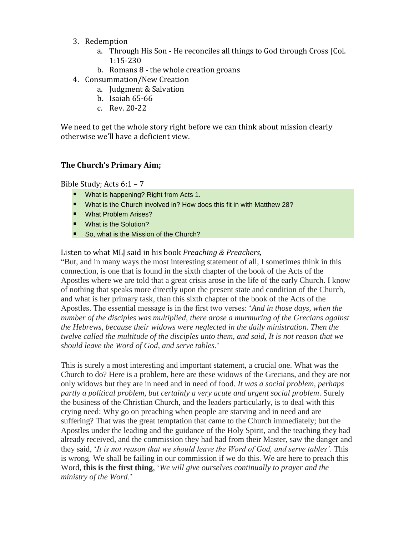- 3. Redemption
	- a. Through His Son He reconciles all things to God through Cross (Col. 1:15-230
	- b. Romans 8 the whole creation groans
- 4. Consummation/New Creation
	- a. Judgment & Salvation
	- b. Isaiah 65-66
	- c. Rev. 20-22

We need to get the whole story right before we can think about mission clearly otherwise we'll have a deficient view.

#### **The Church's Primary Aim;**

Bible Study; Acts 6:1 – 7

- What is happening? Right from Acts 1.
- What is the Church involved in? How does this fit in with Matthew 28?
- What Problem Arises?
- What is the Solution?
- So, what is the Mission of the Church?

#### Listen to what MLJ said in his book *Preaching & Preachers,*

"But, and in many ways the most interesting statement of all, I sometimes think in this connection, is one that is found in the sixth chapter of the book of the Acts of the Apostles where we are told that a great crisis arose in the life of the early Church. I know of nothing that speaks more directly upon the present state and condition of the Church, and what is her primary task, than this sixth chapter of the book of the Acts of the Apostles. The essential message is in the first two verses: '*And in those days, when the number of the disciples was multiplied, there arose a murmuring of the Grecians against the Hebrews, because their widows were neglected in the daily ministration. Then the twelve called the multitude of the disciples unto them, and said, It is not reason that we should leave the Word of God, and serve tables.*'

This is surely a most interesting and important statement, a crucial one. What was the Church to do? Here is a problem, here are these widows of the Grecians, and they are not only widows but they are in need and in need of food. *It was a social problem, perhaps partly a political problem, but certainly a very acute and urgent social problem*. Surely the business of the Christian Church, and the leaders particularly, is to deal with this crying need: Why go on preaching when people are starving and in need and are suffering? That was the great temptation that came to the Church immediately; but the Apostles under the leading and the guidance of the Holy Spirit, and the teaching they had already received, and the commission they had had from their Master, saw the danger and they said, '*It is not reason that we should leave the Word of God, and serve tables'*. This is wrong. We shall be failing in our commission if we do this. We are here to preach this Word, **this is the first thing**, '*We will give ourselves continually to prayer and the ministry of the Word*.'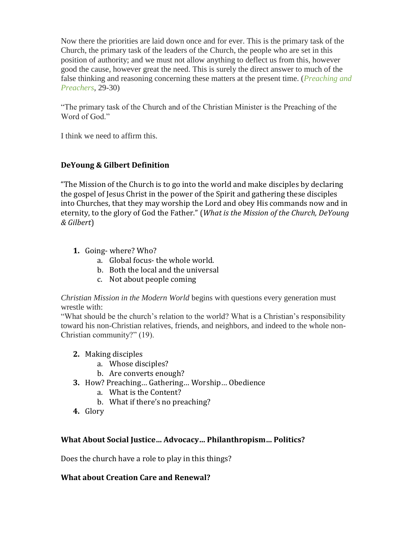Now there the priorities are laid down once and for ever. This is the primary task of the Church, the primary task of the leaders of the Church, the people who are set in this position of authority; and we must not allow anything to deflect us from this, however good the cause, however great the need. This is surely the direct answer to much of the false thinking and reasoning concerning these matters at the present time. (*[Preaching and](http://www.amazon.com/exec/obidos/ASIN/0310278708/deyorestandre-20)  [Preachers](http://www.amazon.com/exec/obidos/ASIN/0310278708/deyorestandre-20)*, 29-30)

"The primary task of the Church and of the Christian Minister is the Preaching of the Word of God."

I think we need to affirm this.

# **DeYoung & Gilbert Definition**

"The Mission of the Church is to go into the world and make disciples by declaring the gospel of Jesus Christ in the power of the Spirit and gathering these disciples into Churches, that they may worship the Lord and obey His commands now and in eternity, to the glory of God the Father." (*What is the Mission of the Church, DeYoung & Gilbert*)

- **1.** Going- where? Who?
	- a. Global focus- the whole world.
	- b. Both the local and the universal
	- c. Not about people coming

*Christian Mission in the Modern World* begins with questions every generation must wrestle with:

"What should be the church's relation to the world? What is a Christian's responsibility toward his non-Christian relatives, friends, and neighbors, and indeed to the whole non-Christian community?" (19).

- **2.** Making disciples
	- a. Whose disciples?
	- b. Are converts enough?
- **3.** How? Preaching… Gathering… Worship… Obedience
	- a. What is the Content?
	- b. What if there's no preaching?
- **4.** Glory

## **What About Social Justice… Advocacy… Philanthropism… Politics?**

Does the church have a role to play in this things?

## **What about Creation Care and Renewal?**